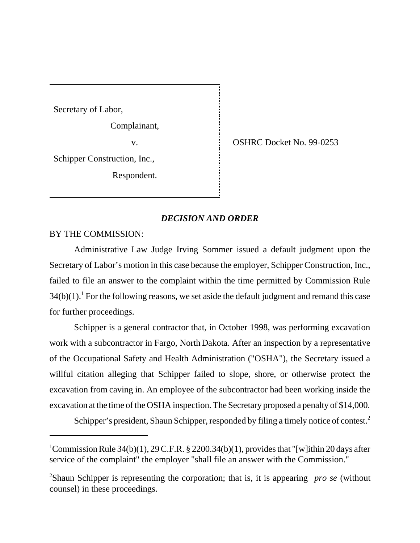Secretary of Labor,

Complainant,

Schipper Construction, Inc.,

Respondent.

v. Solution SMRC Docket No. 99-0253

## *DECISION AND ORDER*

BY THE COMMISSION:

Administrative Law Judge Irving Sommer issued a default judgment upon the Secretary of Labor's motion in this case because the employer, Schipper Construction, Inc., failed to file an answer to the complaint within the time permitted by Commission Rule  $34(b)(1)$ .<sup>1</sup> For the following reasons, we set aside the default judgment and remand this case for further proceedings.

Schipper is a general contractor that, in October 1998, was performing excavation work with a subcontractor in Fargo, North Dakota. After an inspection by a representative of the Occupational Safety and Health Administration ("OSHA"), the Secretary issued a willful citation alleging that Schipper failed to slope, shore, or otherwise protect the excavation from caving in. An employee of the subcontractor had been working inside the excavation at the time of the OSHA inspection. The Secretary proposed a penalty of \$14,000.

Schipper's president, Shaun Schipper, responded by filing a timely notice of contest.<sup>2</sup>

<sup>&</sup>lt;sup>1</sup>Commission Rule 34(b)(1), 29 C.F.R. § 2200.34(b)(1), provides that "[w]ithin 20 days after service of the complaint" the employer "shall file an answer with the Commission."

<sup>2</sup> Shaun Schipper is representing the corporation; that is, it is appearing *pro se* (without counsel) in these proceedings.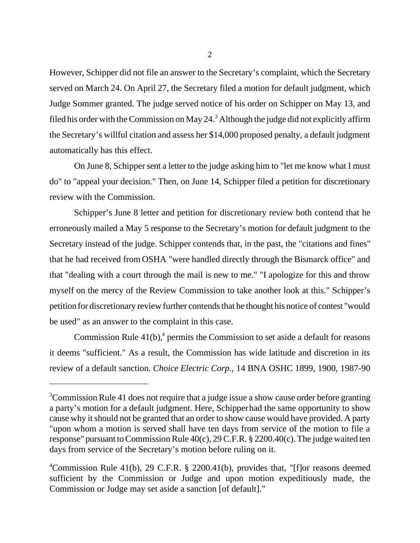However, Schipper did not file an answer to the Secretary's complaint, which the Secretary served on March 24. On April 27, the Secretary filed a motion for default judgment, which Judge Sommer granted. The judge served notice of his order on Schipper on May 13, and filed his order with the Commission on May 24. $3$  Although the judge did not explicitly affirm the Secretary's willful citation and assess her \$14,000 proposed penalty, a default judgment automatically has this effect.

On June 8, Schipper sent a letter to the judge asking him to "let me know what I must do" to "appeal your decision." Then, on June 14, Schipper filed a petition for discretionary review with the Commission.

Schipper's June 8 letter and petition for discretionary review both contend that he erroneously mailed a May 5 response to the Secretary's motion for default judgment to the Secretary instead of the judge. Schipper contends that, in the past, the "citations and fines" that he had received from OSHA "were handled directly through the Bismarck office" and that "dealing with a court through the mail is new to me." "I apologize for this and throw myself on the mercy of the Review Commission to take another look at this." Schipper's petition for discretionary review further contends that he thought his notice of contest "would be used" as an answer to the complaint in this case.

Commission Rule  $41(b)$ , permits the Commission to set aside a default for reasons it deems "sufficient." As a result, the Commission has wide latitude and discretion in its review of a default sanction. *Choice Electric Corp.,* 14 BNA OSHC 1899, 1900, 1987-90

<sup>&</sup>lt;sup>3</sup>Commission Rule 41 does not require that a judge issue a show cause order before granting a party's motion for a default judgment. Here, Schipper had the same opportunity to show cause why it should not be granted that an order to show cause would have provided. A party "upon whom a motion is served shall have ten days from service of the motion to file a response" pursuant to Commission Rule 40(c), 29 C.F.R. § 2200.40(c). The judge waited ten days from service of the Secretary's motion before ruling on it.

<sup>4</sup> Commission Rule 41(b), 29 C.F.R. § 2200.41(b), provides that, "[f]or reasons deemed sufficient by the Commission or Judge and upon motion expeditiously made, the Commission or Judge may set aside a sanction [of default]."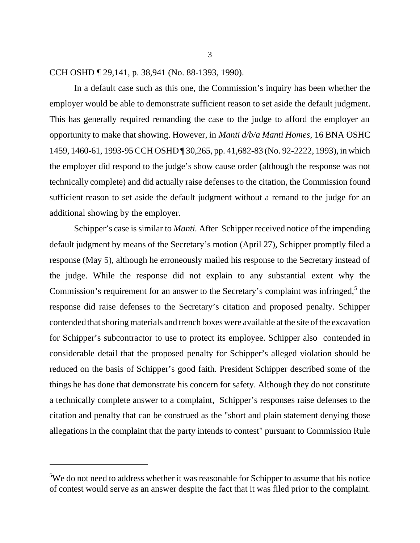## CCH OSHD ¶ 29,141, p. 38,941 (No. 88-1393, 1990).

In a default case such as this one, the Commission's inquiry has been whether the employer would be able to demonstrate sufficient reason to set aside the default judgment. This has generally required remanding the case to the judge to afford the employer an opportunity to make that showing. However, in *Manti d/b/a Manti Homes,* 16 BNA OSHC 1459, 1460-61, 1993-95 CCH OSHD ¶ 30,265, pp. 41,682-83 (No. 92-2222, 1993), in which the employer did respond to the judge's show cause order (although the response was not technically complete) and did actually raise defenses to the citation, the Commission found sufficient reason to set aside the default judgment without a remand to the judge for an additional showing by the employer.

Schipper's case is similar to *Manti.* After Schipper received notice of the impending default judgment by means of the Secretary's motion (April 27), Schipper promptly filed a response (May 5), although he erroneously mailed his response to the Secretary instead of the judge. While the response did not explain to any substantial extent why the Commission's requirement for an answer to the Secretary's complaint was infringed,<sup>5</sup> the response did raise defenses to the Secretary's citation and proposed penalty. Schipper contended that shoring materials and trench boxes were available at the site of the excavation for Schipper's subcontractor to use to protect its employee. Schipper also contended in considerable detail that the proposed penalty for Schipper's alleged violation should be reduced on the basis of Schipper's good faith. President Schipper described some of the things he has done that demonstrate his concern for safety. Although they do not constitute a technically complete answer to a complaint, Schipper's responses raise defenses to the citation and penalty that can be construed as the "short and plain statement denying those allegations in the complaint that the party intends to contest" pursuant to Commission Rule

<sup>&</sup>lt;sup>5</sup>We do not need to address whether it was reasonable for Schipper to assume that his notice of contest would serve as an answer despite the fact that it was filed prior to the complaint.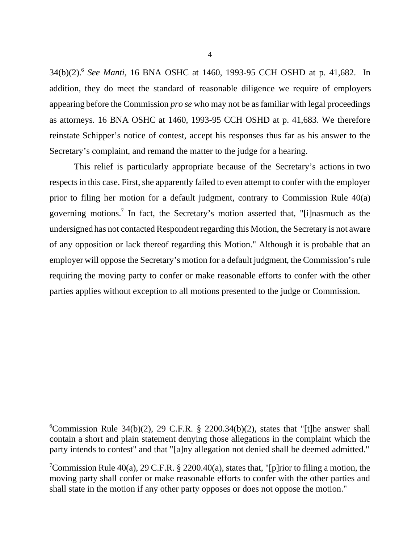34(b)(2).6 *See Manti,* 16 BNA OSHC at 1460, 1993-95 CCH OSHD at p. 41,682. In addition, they do meet the standard of reasonable diligence we require of employers appearing before the Commission *pro se* who may not be as familiar with legal proceedings as attorneys. 16 BNA OSHC at 1460, 1993-95 CCH OSHD at p. 41,683. We therefore reinstate Schipper's notice of contest, accept his responses thus far as his answer to the Secretary's complaint, and remand the matter to the judge for a hearing.

 This relief is particularly appropriate because of the Secretary's actions in two respects in this case. First, she apparently failed to even attempt to confer with the employer prior to filing her motion for a default judgment, contrary to Commission Rule 40(a) governing motions.<sup>7</sup> In fact, the Secretary's motion asserted that, "[i]nasmuch as the undersigned has not contacted Respondent regarding this Motion, the Secretary is not aware of any opposition or lack thereof regarding this Motion." Although it is probable that an employer will oppose the Secretary's motion for a default judgment, the Commission's rule requiring the moving party to confer or make reasonable efforts to confer with the other parties applies without exception to all motions presented to the judge or Commission.

<sup>&</sup>lt;sup>6</sup>Commission Rule 34(b)(2), 29 C.F.R. § 2200.34(b)(2), states that "[t]he answer shall contain a short and plain statement denying those allegations in the complaint which the party intends to contest" and that "[a]ny allegation not denied shall be deemed admitted."

<sup>&</sup>lt;sup>7</sup>Commission Rule 40(a), 29 C.F.R. § 2200.40(a), states that, "[p]rior to filing a motion, the moving party shall confer or make reasonable efforts to confer with the other parties and shall state in the motion if any other party opposes or does not oppose the motion."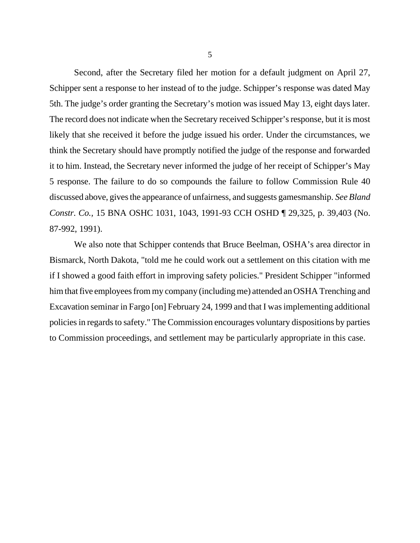Second, after the Secretary filed her motion for a default judgment on April 27, Schipper sent a response to her instead of to the judge. Schipper's response was dated May 5th. The judge's order granting the Secretary's motion was issued May 13, eight days later. The record does not indicate when the Secretary received Schipper's response, but it is most likely that she received it before the judge issued his order. Under the circumstances, we think the Secretary should have promptly notified the judge of the response and forwarded it to him. Instead, the Secretary never informed the judge of her receipt of Schipper's May 5 response. The failure to do so compounds the failure to follow Commission Rule 40 discussed above, gives the appearance of unfairness, and suggests gamesmanship. *See Bland Constr. Co.,* 15 BNA OSHC 1031, 1043, 1991-93 CCH OSHD ¶ 29,325, p. 39,403 (No. 87-992, 1991).

We also note that Schipper contends that Bruce Beelman, OSHA's area director in Bismarck, North Dakota, "told me he could work out a settlement on this citation with me if I showed a good faith effort in improving safety policies." President Schipper "informed him that five employees from my company (including me) attended an OSHA Trenching and Excavation seminar in Fargo [on] February 24, 1999 and that I was implementing additional policies in regards to safety." The Commission encourages voluntary dispositions by parties to Commission proceedings, and settlement may be particularly appropriate in this case.